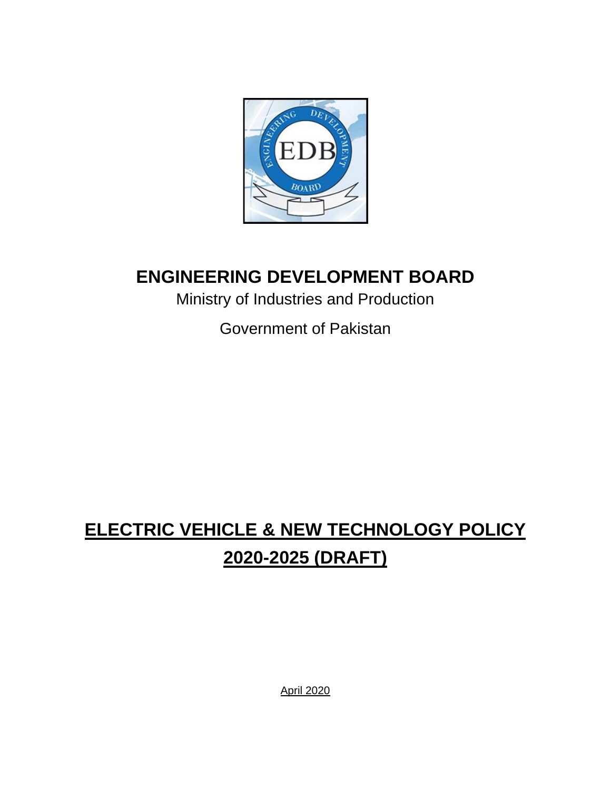

# **ENGINEERING DEVELOPMENT BOARD**

Ministry of Industries and Production

Government of Pakistan

# **ELECTRIC VEHICLE & NEW TECHNOLOGY POLICY 2020-2025 (DRAFT)**

April 2020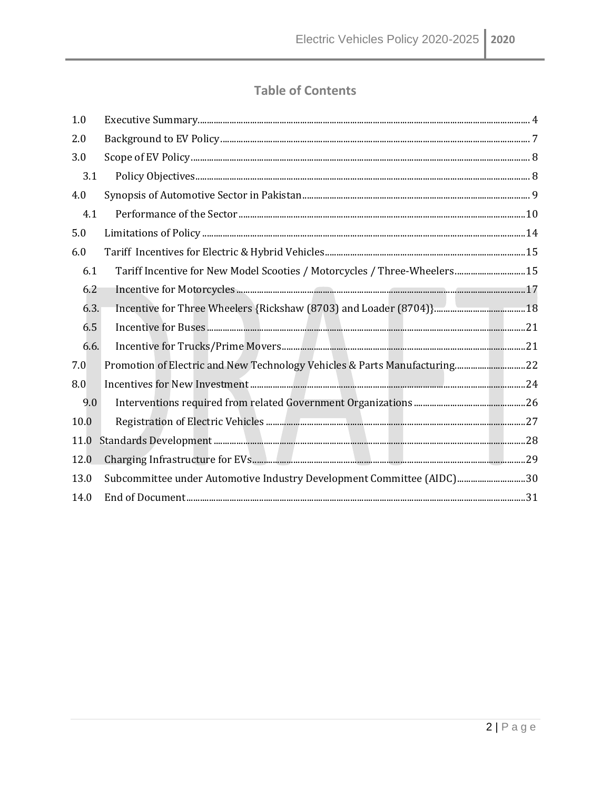### **Table of Contents**

| 1.0  |                                                                           |  |
|------|---------------------------------------------------------------------------|--|
| 2.0  |                                                                           |  |
| 3.0  |                                                                           |  |
| 3.1  |                                                                           |  |
| 4.0  |                                                                           |  |
| 4.1  |                                                                           |  |
| 5.0  |                                                                           |  |
| 6.0  |                                                                           |  |
| 6.1  | Tariff Incentive for New Model Scooties / Motorcycles / Three-Wheelers 15 |  |
| 6.2  |                                                                           |  |
| 6.3. |                                                                           |  |
| 6.5  |                                                                           |  |
| 6.6. |                                                                           |  |
| 7.0  |                                                                           |  |
| 8.0  |                                                                           |  |
| 9.0  |                                                                           |  |
| 10.0 |                                                                           |  |
| 11.0 |                                                                           |  |
| 12.0 |                                                                           |  |
| 13.0 | Subcommittee under Automotive Industry Development Committee (AIDC)30     |  |
| 14.0 |                                                                           |  |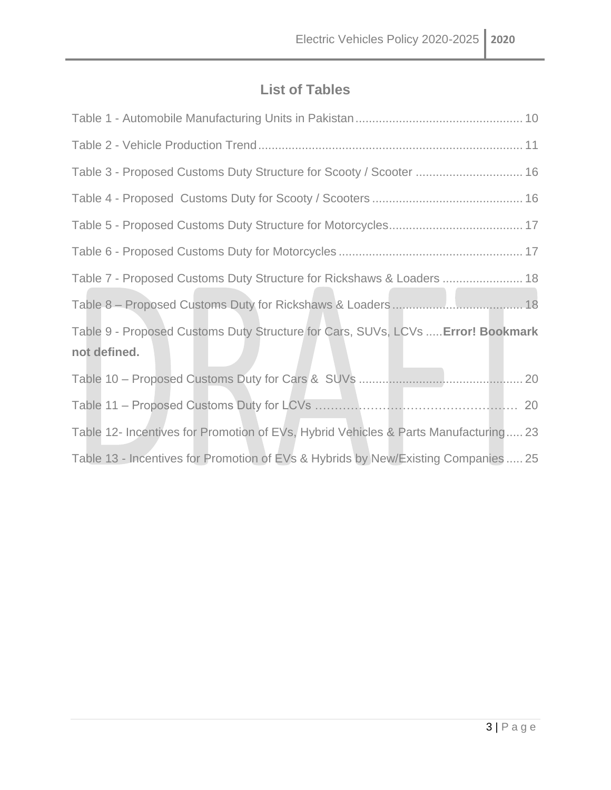## **List of Tables**

| Table 3 - Proposed Customs Duty Structure for Scooty / Scooter  16                  |
|-------------------------------------------------------------------------------------|
|                                                                                     |
|                                                                                     |
|                                                                                     |
| Table 7 - Proposed Customs Duty Structure for Rickshaws & Loaders  18               |
|                                                                                     |
| Table 9 - Proposed Customs Duty Structure for Cars, SUVs, LCVs  Error! Bookmark     |
| not defined.                                                                        |
|                                                                                     |
|                                                                                     |
| Table 12- Incentives for Promotion of EVs, Hybrid Vehicles & Parts Manufacturing 23 |
| Table 13 - Incentives for Promotion of EVs & Hybrids by New/Existing Companies  25  |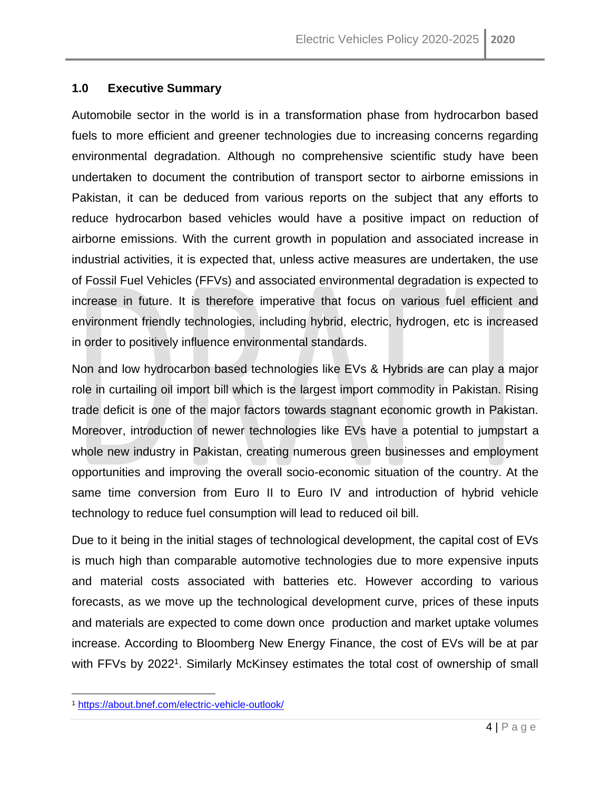#### <span id="page-3-0"></span>**1.0 Executive Summary**

Automobile sector in the world is in a transformation phase from hydrocarbon based fuels to more efficient and greener technologies due to increasing concerns regarding environmental degradation. Although no comprehensive scientific study have been undertaken to document the contribution of transport sector to airborne emissions in Pakistan, it can be deduced from various reports on the subject that any efforts to reduce hydrocarbon based vehicles would have a positive impact on reduction of airborne emissions. With the current growth in population and associated increase in industrial activities, it is expected that, unless active measures are undertaken, the use of Fossil Fuel Vehicles (FFVs) and associated environmental degradation is expected to increase in future. It is therefore imperative that focus on various fuel efficient and environment friendly technologies, including hybrid, electric, hydrogen, etc is increased in order to positively influence environmental standards.

Non and low hydrocarbon based technologies like EVs & Hybrids are can play a major role in curtailing oil import bill which is the largest import commodity in Pakistan. Rising trade deficit is one of the major factors towards stagnant economic growth in Pakistan. Moreover, introduction of newer technologies like EVs have a potential to jumpstart a whole new industry in Pakistan, creating numerous green businesses and employment opportunities and improving the overall socio-economic situation of the country. At the same time conversion from Euro II to Euro IV and introduction of hybrid vehicle technology to reduce fuel consumption will lead to reduced oil bill.

Due to it being in the initial stages of technological development, the capital cost of EVs is much high than comparable automotive technologies due to more expensive inputs and material costs associated with batteries etc. However according to various forecasts, as we move up the technological development curve, prices of these inputs and materials are expected to come down once production and market uptake volumes increase. According to Bloomberg New Energy Finance, the cost of EVs will be at par with FFVs by 2022<sup>1</sup>. Similarly McKinsey estimates the total cost of ownership of small

<sup>1</sup> <https://about.bnef.com/electric-vehicle-outlook/>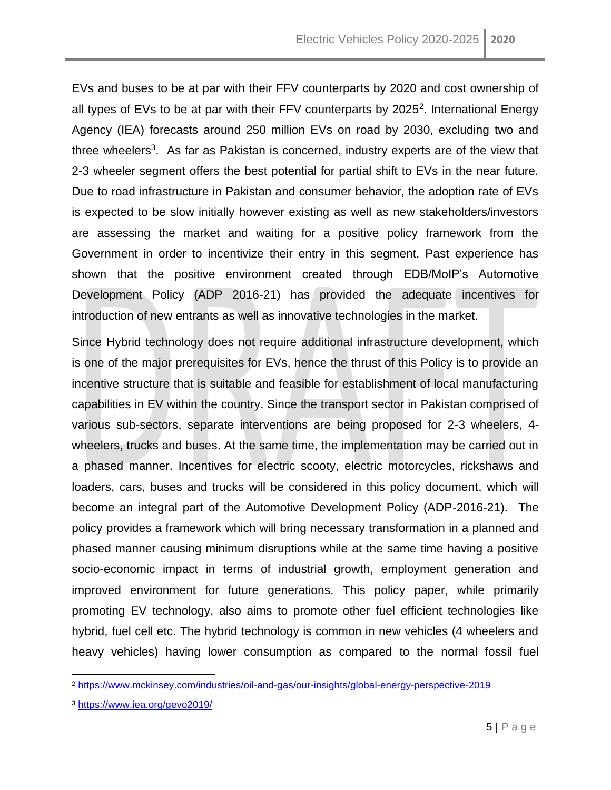EVs and buses to be at par with their FFV counterparts by 2020 and cost ownership of all types of EVs to be at par with their FFV counterparts by  $2025^2$ . International Energy Agency (IEA) forecasts around 250 million EVs on road by 2030, excluding two and three wheelers<sup>3</sup>. As far as Pakistan is concerned, industry experts are of the view that 2-3 wheeler segment offers the best potential for partial shift to EVs in the near future. Due to road infrastructure in Pakistan and consumer behavior, the adoption rate of EVs is expected to be slow initially however existing as well as new stakeholders/investors are assessing the market and waiting for a positive policy framework from the Government in order to incentivize their entry in this segment. Past experience has shown that the positive environment created through EDB/MoIP's Automotive Development Policy (ADP 2016-21) has provided the adequate incentives for introduction of new entrants as well as innovative technologies in the market.

Since Hybrid technology does not require additional infrastructure development, which is one of the major prerequisites for EVs, hence the thrust of this Policy is to provide an incentive structure that is suitable and feasible for establishment of local manufacturing capabilities in EV within the country. Since the transport sector in Pakistan comprised of various sub-sectors, separate interventions are being proposed for 2-3 wheelers, 4 wheelers, trucks and buses. At the same time, the implementation may be carried out in a phased manner. Incentives for electric scooty, electric motorcycles, rickshaws and loaders, cars, buses and trucks will be considered in this policy document, which will become an integral part of the Automotive Development Policy (ADP-2016-21). The policy provides a framework which will bring necessary transformation in a planned and phased manner causing minimum disruptions while at the same time having a positive socio-economic impact in terms of industrial growth, employment generation and improved environment for future generations. This policy paper, while primarily promoting EV technology, also aims to promote other fuel efficient technologies like hybrid, fuel cell etc. The hybrid technology is common in new vehicles (4 wheelers and heavy vehicles) having lower consumption as compared to the normal fossil fuel

<sup>2</sup> <https://www.mckinsey.com/industries/oil-and-gas/our-insights/global-energy-perspective-2019>

<sup>3</sup> <https://www.iea.org/gevo2019/>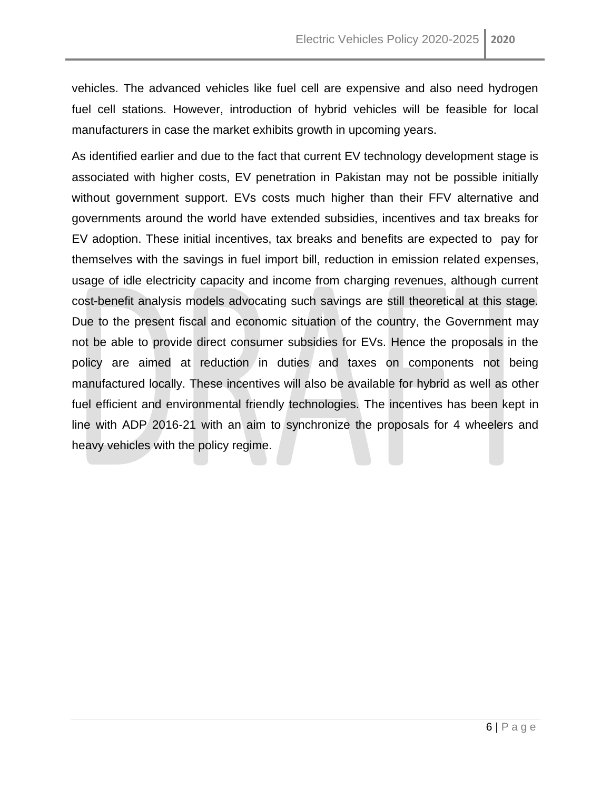vehicles. The advanced vehicles like fuel cell are expensive and also need hydrogen fuel cell stations. However, introduction of hybrid vehicles will be feasible for local manufacturers in case the market exhibits growth in upcoming years.

As identified earlier and due to the fact that current EV technology development stage is associated with higher costs, EV penetration in Pakistan may not be possible initially without government support. EVs costs much higher than their FFV alternative and governments around the world have extended subsidies, incentives and tax breaks for EV adoption. These initial incentives, tax breaks and benefits are expected to pay for themselves with the savings in fuel import bill, reduction in emission related expenses, usage of idle electricity capacity and income from charging revenues, although current cost-benefit analysis models advocating such savings are still theoretical at this stage. Due to the present fiscal and economic situation of the country, the Government may not be able to provide direct consumer subsidies for EVs. Hence the proposals in the policy are aimed at reduction in duties and taxes on components not being manufactured locally. These incentives will also be available for hybrid as well as other fuel efficient and environmental friendly technologies. The incentives has been kept in line with ADP 2016-21 with an aim to synchronize the proposals for 4 wheelers and heavy vehicles with the policy regime.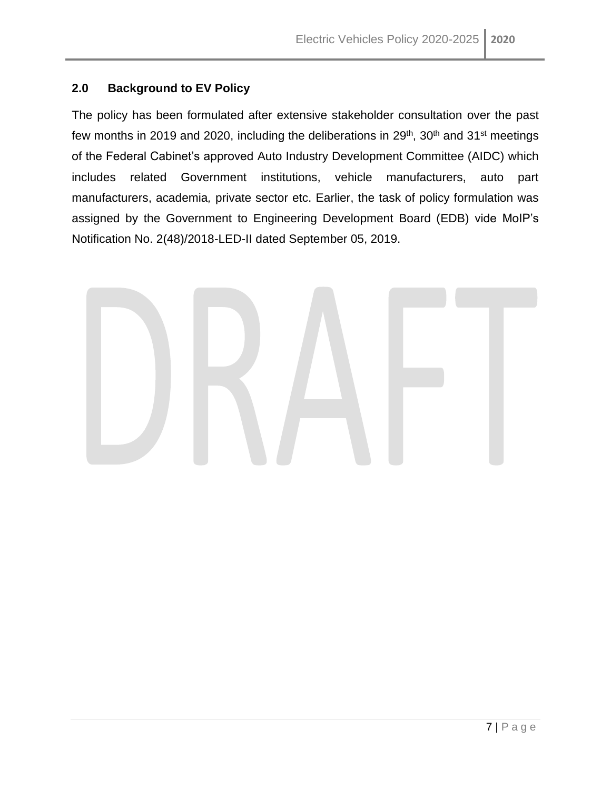#### <span id="page-6-0"></span>**2.0 Background to EV Policy**

The policy has been formulated after extensive stakeholder consultation over the past few months in 2019 and 2020, including the deliberations in  $29<sup>th</sup>$ ,  $30<sup>th</sup>$  and  $31<sup>st</sup>$  meetings of the Federal Cabinet's approved Auto Industry Development Committee (AIDC) which includes related Government institutions, vehicle manufacturers, auto part manufacturers, academia*,* private sector etc. Earlier, the task of policy formulation was assigned by the Government to Engineering Development Board (EDB) vide MoIP's Notification No. 2(48)/2018-LED-II dated September 05, 2019.

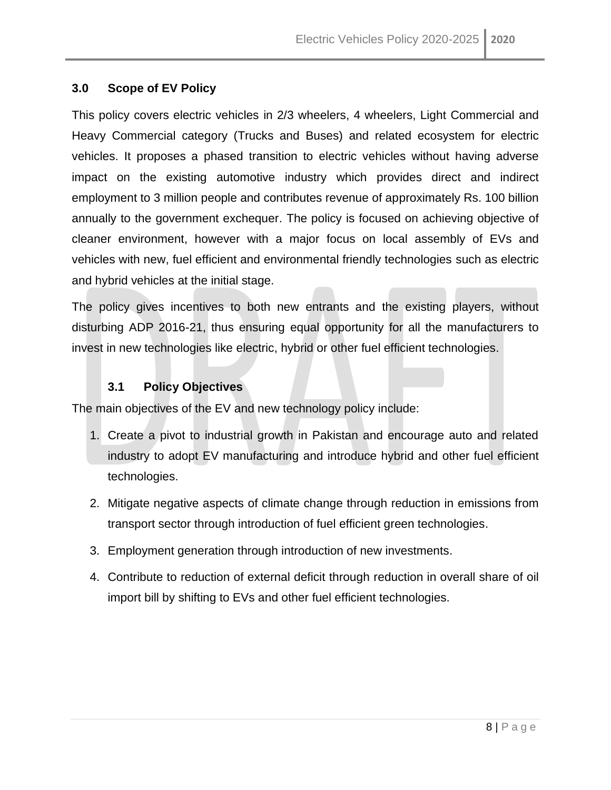#### <span id="page-7-0"></span>**3.0 Scope of EV Policy**

This policy covers electric vehicles in 2/3 wheelers, 4 wheelers, Light Commercial and Heavy Commercial category (Trucks and Buses) and related ecosystem for electric vehicles. It proposes a phased transition to electric vehicles without having adverse impact on the existing automotive industry which provides direct and indirect employment to 3 million people and contributes revenue of approximately Rs. 100 billion annually to the government exchequer. The policy is focused on achieving objective of cleaner environment, however with a major focus on local assembly of EVs and vehicles with new, fuel efficient and environmental friendly technologies such as electric and hybrid vehicles at the initial stage.

The policy gives incentives to both new entrants and the existing players, without disturbing ADP 2016-21, thus ensuring equal opportunity for all the manufacturers to invest in new technologies like electric, hybrid or other fuel efficient technologies.

#### **3.1 Policy Objectives**

<span id="page-7-1"></span>The main objectives of the EV and new technology policy include:

- 1. Create a pivot to industrial growth in Pakistan and encourage auto and related industry to adopt EV manufacturing and introduce hybrid and other fuel efficient technologies.
- 2. Mitigate negative aspects of climate change through reduction in emissions from transport sector through introduction of fuel efficient green technologies.
- 3. Employment generation through introduction of new investments.
- 4. Contribute to reduction of external deficit through reduction in overall share of oil import bill by shifting to EVs and other fuel efficient technologies.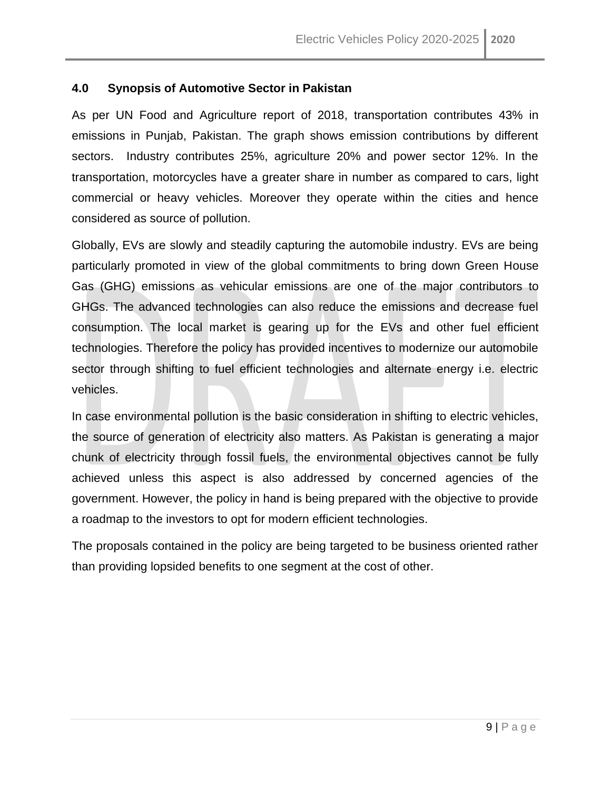#### <span id="page-8-0"></span>**4.0 Synopsis of Automotive Sector in Pakistan**

As per UN Food and Agriculture report of 2018, transportation contributes 43% in emissions in Punjab, Pakistan. The graph shows emission contributions by different sectors. Industry contributes 25%, agriculture 20% and power sector 12%. In the transportation, motorcycles have a greater share in number as compared to cars, light commercial or heavy vehicles. Moreover they operate within the cities and hence considered as source of pollution.

Globally, EVs are slowly and steadily capturing the automobile industry. EVs are being particularly promoted in view of the global commitments to bring down Green House Gas (GHG) emissions as vehicular emissions are one of the major contributors to GHGs. The advanced technologies can also reduce the emissions and decrease fuel consumption. The local market is gearing up for the EVs and other fuel efficient technologies. Therefore the policy has provided incentives to modernize our automobile sector through shifting to fuel efficient technologies and alternate energy i.e. electric vehicles.

In case environmental pollution is the basic consideration in shifting to electric vehicles, the source of generation of electricity also matters. As Pakistan is generating a major chunk of electricity through fossil fuels, the environmental objectives cannot be fully achieved unless this aspect is also addressed by concerned agencies of the government. However, the policy in hand is being prepared with the objective to provide a roadmap to the investors to opt for modern efficient technologies.

The proposals contained in the policy are being targeted to be business oriented rather than providing lopsided benefits to one segment at the cost of other.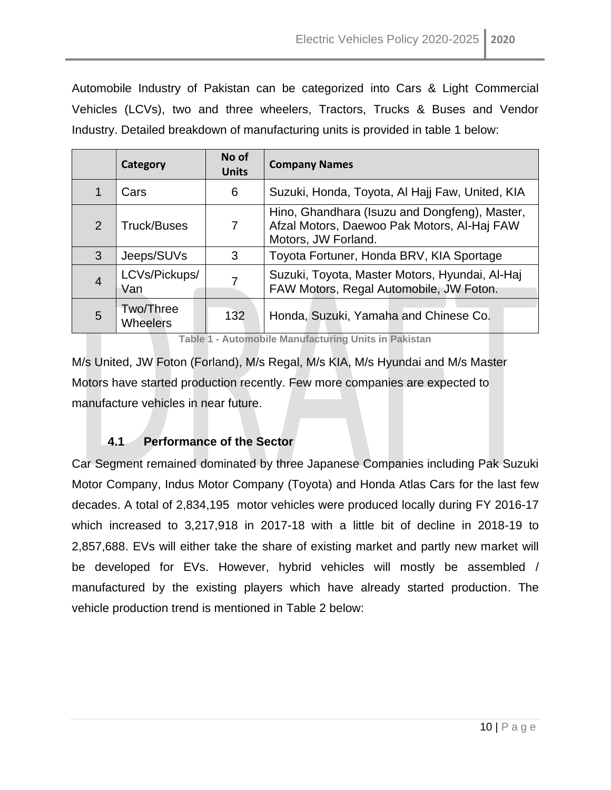Automobile Industry of Pakistan can be categorized into Cars & Light Commercial Vehicles (LCVs), two and three wheelers, Tractors, Trucks & Buses and Vendor Industry. Detailed breakdown of manufacturing units is provided in table 1 below:

|                | Category                     | No of<br><b>Units</b> | <b>Company Names</b>                                                                                                |  |  |  |  |
|----------------|------------------------------|-----------------------|---------------------------------------------------------------------------------------------------------------------|--|--|--|--|
|                | Cars                         | 6                     | Suzuki, Honda, Toyota, Al Hajj Faw, United, KIA                                                                     |  |  |  |  |
| $\mathcal{P}$  | <b>Truck/Buses</b>           | 7                     | Hino, Ghandhara (Isuzu and Dongfeng), Master,<br>Afzal Motors, Daewoo Pak Motors, Al-Haj FAW<br>Motors, JW Forland. |  |  |  |  |
| 3              | Jeeps/SUVs                   | 3                     | Toyota Fortuner, Honda BRV, KIA Sportage                                                                            |  |  |  |  |
| $\overline{4}$ | LCVs/Pickups/<br>Van         |                       | Suzuki, Toyota, Master Motors, Hyundai, Al-Haj<br>FAW Motors, Regal Automobile, JW Foton.                           |  |  |  |  |
| 5              | Two/Three<br><b>Wheelers</b> | 132                   | Honda, Suzuki, Yamaha and Chinese Co.                                                                               |  |  |  |  |

**Table 1 - Automobile Manufacturing Units in Pakistan**

<span id="page-9-1"></span>M/s United, JW Foton (Forland), M/s Regal, M/s KIA, M/s Hyundai and M/s Master Motors have started production recently. Few more companies are expected to manufacture vehicles in near future.

#### **4.1 Performance of the Sector**

<span id="page-9-0"></span>Car Segment remained dominated by three Japanese Companies including Pak Suzuki Motor Company, Indus Motor Company (Toyota) and Honda Atlas Cars for the last few decades. A total of 2,834,195 motor vehicles were produced locally during FY 2016-17 which increased to 3,217,918 in 2017-18 with a little bit of decline in 2018-19 to 2,857,688. EVs will either take the share of existing market and partly new market will be developed for EVs. However, hybrid vehicles will mostly be assembled / manufactured by the existing players which have already started production. The vehicle production trend is mentioned in Table 2 below: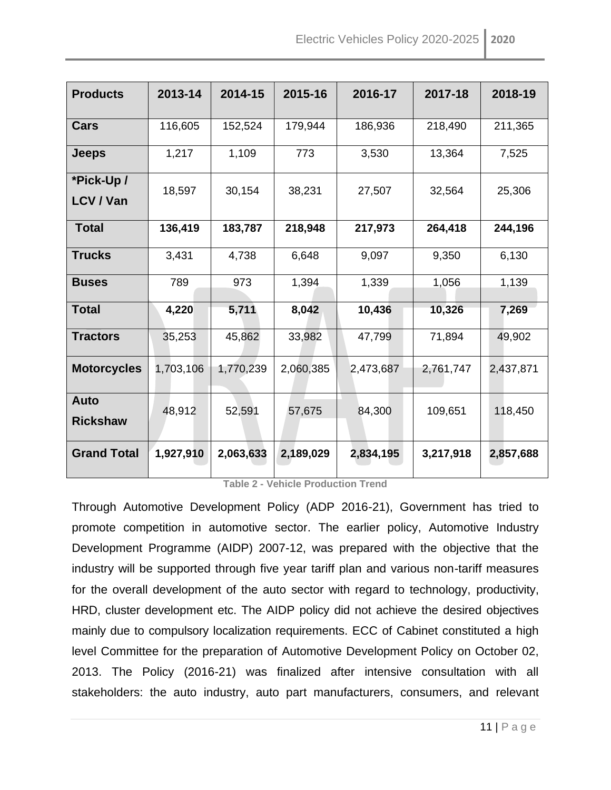| <b>Products</b>                | 2013-14   | 2014-15   | 2015-16   | 2016-17   | 2017-18   | 2018-19   |
|--------------------------------|-----------|-----------|-----------|-----------|-----------|-----------|
| Cars                           | 116,605   | 152,524   | 179,944   | 186,936   | 218,490   | 211,365   |
| <b>Jeeps</b>                   | 1,217     | 1,109     | 773       | 3,530     | 13,364    | 7,525     |
| *Pick-Up/<br>LCV / Van         | 18,597    | 30,154    | 38,231    | 27,507    | 32,564    | 25,306    |
| <b>Total</b>                   | 136,419   | 183,787   | 218,948   | 217,973   | 264,418   | 244,196   |
| <b>Trucks</b>                  | 3,431     | 4,738     | 6,648     | 9,097     | 9,350     | 6,130     |
| <b>Buses</b>                   | 789       | 973       | 1,394     | 1,339     | 1,056     | 1,139     |
| <b>Total</b>                   | 4,220     | 5,711     | 8,042     | 10,436    | 10,326    | 7,269     |
| <b>Tractors</b>                | 35,253    | 45,862    | 33,982    | 47,799    | 71,894    | 49,902    |
| <b>Motorcycles</b>             | 1,703,106 | 1,770,239 | 2,060,385 | 2,473,687 | 2,761,747 | 2,437,871 |
| <b>Auto</b><br><b>Rickshaw</b> | 48,912    | 52,591    | 57,675    | 84,300    | 109,651   | 118,450   |
| <b>Grand Total</b>             | 1,927,910 | 2,063,633 | 2,189,029 | 2,834,195 | 3,217,918 | 2,857,688 |

**Table 2 - Vehicle Production Trend**

<span id="page-10-0"></span>Through Automotive Development Policy (ADP 2016-21), Government has tried to promote competition in automotive sector. The earlier policy, Automotive Industry Development Programme (AIDP) 2007-12, was prepared with the objective that the industry will be supported through five year tariff plan and various non-tariff measures for the overall development of the auto sector with regard to technology, productivity, HRD, cluster development etc. The AIDP policy did not achieve the desired objectives mainly due to compulsory localization requirements. ECC of Cabinet constituted a high level Committee for the preparation of Automotive Development Policy on October 02, 2013. The Policy (2016-21) was finalized after intensive consultation with all stakeholders: the auto industry, auto part manufacturers, consumers, and relevant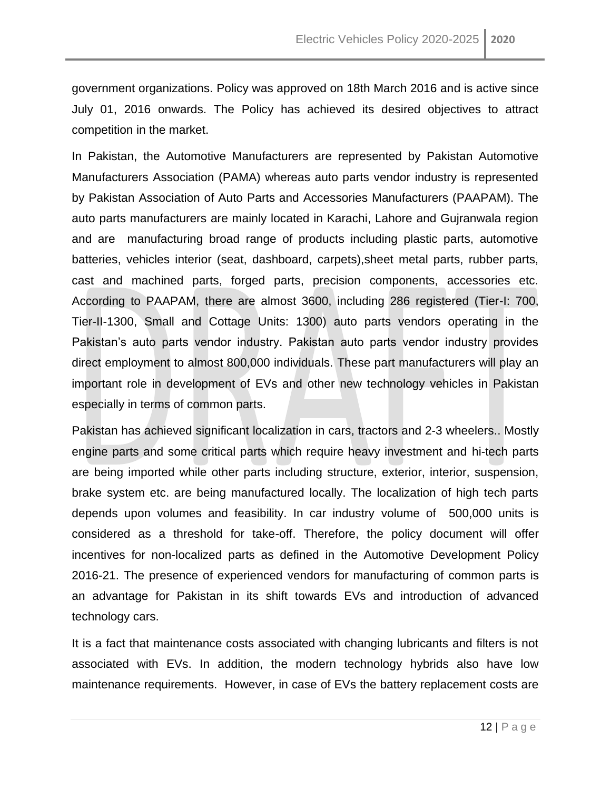government organizations. Policy was approved on 18th March 2016 and is active since July 01, 2016 onwards. The Policy has achieved its desired objectives to attract competition in the market.

In Pakistan, the Automotive Manufacturers are represented by Pakistan Automotive Manufacturers Association (PAMA) whereas auto parts vendor industry is represented by Pakistan Association of Auto Parts and Accessories Manufacturers (PAAPAM). The auto parts manufacturers are mainly located in Karachi, Lahore and Gujranwala region and are manufacturing broad range of products including plastic parts, automotive batteries, vehicles interior (seat, dashboard, carpets),sheet metal parts, rubber parts, cast and machined parts, forged parts, precision components, accessories etc. According to PAAPAM, there are almost 3600, including 286 registered (Tier-I: 700, Tier-II-1300, Small and Cottage Units: 1300) auto parts vendors operating in the Pakistan's auto parts vendor industry. Pakistan auto parts vendor industry provides direct employment to almost 800,000 individuals. These part manufacturers will play an important role in development of EVs and other new technology vehicles in Pakistan especially in terms of common parts.

Pakistan has achieved significant localization in cars, tractors and 2-3 wheelers.. Mostly engine parts and some critical parts which require heavy investment and hi-tech parts are being imported while other parts including structure, exterior, interior, suspension, brake system etc. are being manufactured locally. The localization of high tech parts depends upon volumes and feasibility. In car industry volume of 500,000 units is considered as a threshold for take-off. Therefore, the policy document will offer incentives for non-localized parts as defined in the Automotive Development Policy 2016-21. The presence of experienced vendors for manufacturing of common parts is an advantage for Pakistan in its shift towards EVs and introduction of advanced technology cars.

It is a fact that maintenance costs associated with changing lubricants and filters is not associated with EVs. In addition, the modern technology hybrids also have low maintenance requirements. However, in case of EVs the battery replacement costs are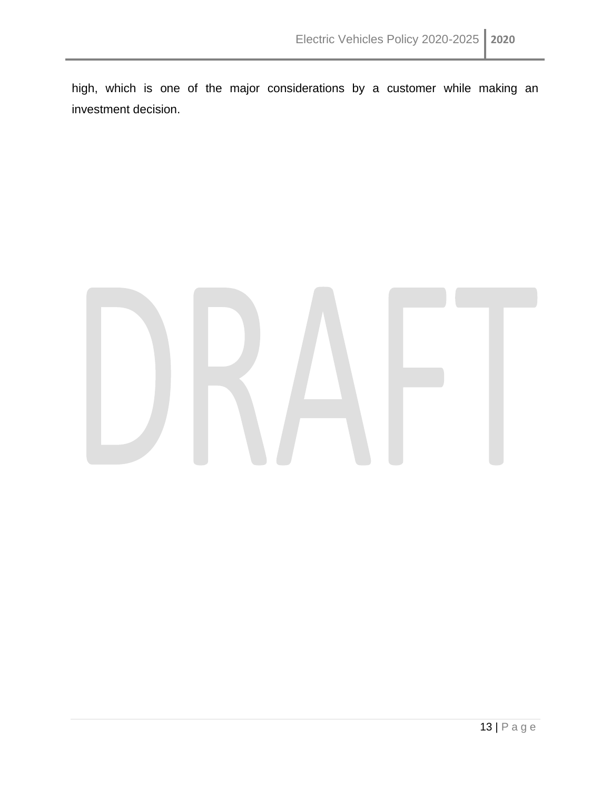high, which is one of the major considerations by a customer while making an investment decision.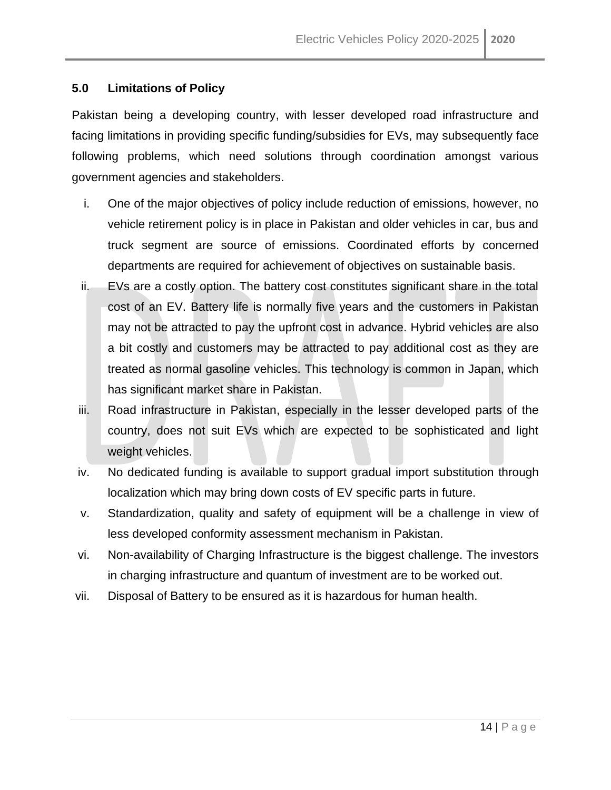#### <span id="page-13-0"></span>**5.0 Limitations of Policy**

Pakistan being a developing country, with lesser developed road infrastructure and facing limitations in providing specific funding/subsidies for EVs, may subsequently face following problems, which need solutions through coordination amongst various government agencies and stakeholders.

- i. One of the major objectives of policy include reduction of emissions, however, no vehicle retirement policy is in place in Pakistan and older vehicles in car, bus and truck segment are source of emissions. Coordinated efforts by concerned departments are required for achievement of objectives on sustainable basis.
- ii. EVs are a costly option. The battery cost constitutes significant share in the total cost of an EV. Battery life is normally five years and the customers in Pakistan may not be attracted to pay the upfront cost in advance. Hybrid vehicles are also a bit costly and customers may be attracted to pay additional cost as they are treated as normal gasoline vehicles. This technology is common in Japan, which has significant market share in Pakistan.
- iii. Road infrastructure in Pakistan, especially in the lesser developed parts of the country, does not suit EVs which are expected to be sophisticated and light weight vehicles.
- iv. No dedicated funding is available to support gradual import substitution through localization which may bring down costs of EV specific parts in future.
- v. Standardization, quality and safety of equipment will be a challenge in view of less developed conformity assessment mechanism in Pakistan.
- vi. Non-availability of Charging Infrastructure is the biggest challenge. The investors in charging infrastructure and quantum of investment are to be worked out.
- vii. Disposal of Battery to be ensured as it is hazardous for human health.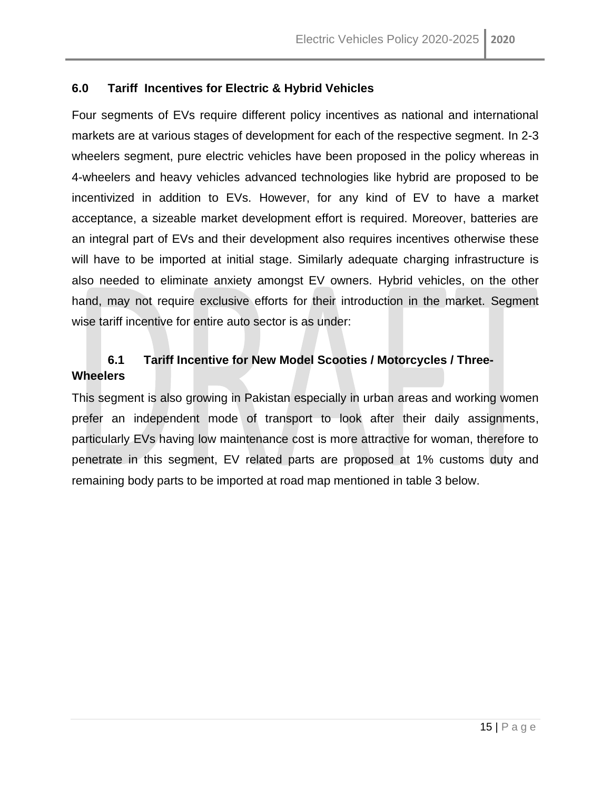#### <span id="page-14-0"></span>**6.0 Tariff Incentives for Electric & Hybrid Vehicles**

Four segments of EVs require different policy incentives as national and international markets are at various stages of development for each of the respective segment. In 2-3 wheelers segment, pure electric vehicles have been proposed in the policy whereas in 4-wheelers and heavy vehicles advanced technologies like hybrid are proposed to be incentivized in addition to EVs. However, for any kind of EV to have a market acceptance, a sizeable market development effort is required. Moreover, batteries are an integral part of EVs and their development also requires incentives otherwise these will have to be imported at initial stage. Similarly adequate charging infrastructure is also needed to eliminate anxiety amongst EV owners. Hybrid vehicles, on the other hand, may not require exclusive efforts for their introduction in the market. Segment wise tariff incentive for entire auto sector is as under:

### <span id="page-14-1"></span>**6.1 Tariff Incentive for New Model Scooties / Motorcycles / Three-Wheelers**

This segment is also growing in Pakistan especially in urban areas and working women prefer an independent mode of transport to look after their daily assignments, particularly EVs having low maintenance cost is more attractive for woman, therefore to penetrate in this segment, EV related parts are proposed at 1% customs duty and remaining body parts to be imported at road map mentioned in table 3 below.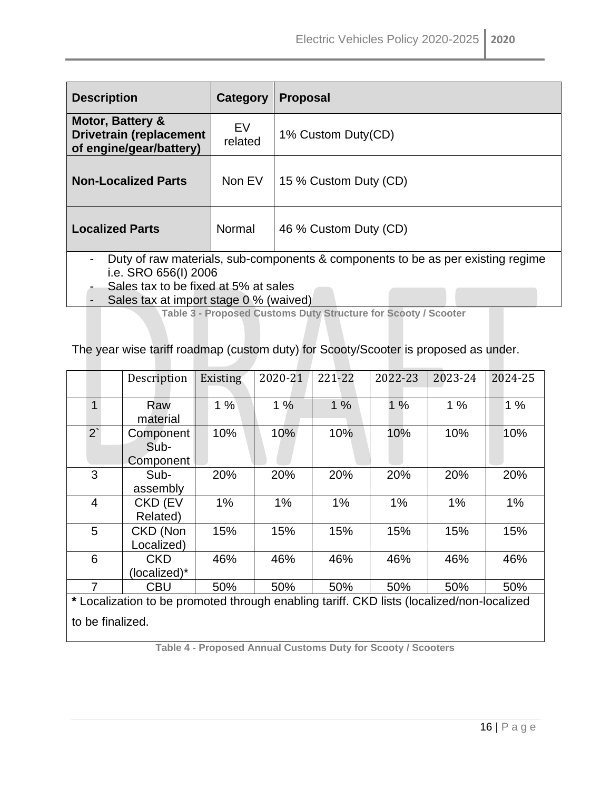| <b>Description</b>                                                                                                                                                                         | Category      | <b>Proposal</b>       |  |  |  |  |
|--------------------------------------------------------------------------------------------------------------------------------------------------------------------------------------------|---------------|-----------------------|--|--|--|--|
| <b>Motor, Battery &amp;</b><br><b>Drivetrain (replacement</b><br>of engine/gear/battery)                                                                                                   | EV<br>related | 1% Custom Duty(CD)    |  |  |  |  |
| <b>Non-Localized Parts</b>                                                                                                                                                                 | Non EV        | 15 % Custom Duty (CD) |  |  |  |  |
| <b>Localized Parts</b>                                                                                                                                                                     | Normal        | 46 % Custom Duty (CD) |  |  |  |  |
| Duty of raw materials, sub-components & components to be as per existing regime<br>i.e. SRO 656(I) 2006<br>Sales tax to be fixed at 5% at sales<br>Sales tay at import stage 0.0% (waived) |               |                       |  |  |  |  |

<span id="page-15-0"></span> $\sigma$ ales tax at import stage 0 % (waived)

**Table 3 - Proposed Customs Duty Structure for Scooty / Scooter**

The year wise tariff roadmap (custom duty) for Scooty/Scooter is proposed as under.

|                                                                                           | Description  | Existing | 2020-21 | 221-22 | 2022-23 | 2023-24 | 2024-25 |  |  |
|-------------------------------------------------------------------------------------------|--------------|----------|---------|--------|---------|---------|---------|--|--|
|                                                                                           |              |          |         |        |         |         |         |  |  |
| 1                                                                                         | Raw          | 1%       | 1%      | 1%     | 1%      | 1%      | 1%      |  |  |
|                                                                                           | material     |          |         |        |         |         |         |  |  |
| $2^{\prime}$                                                                              | Component    | 10%      | 10%     | 10%    | 10%     | 10%     | 10%     |  |  |
|                                                                                           | Sub-         |          |         |        |         |         |         |  |  |
|                                                                                           | Component    |          |         |        |         |         |         |  |  |
| 3                                                                                         | Sub-         | 20%      | 20%     | 20%    | 20%     | 20%     | 20%     |  |  |
|                                                                                           | assembly     |          |         |        |         |         |         |  |  |
| 4                                                                                         | CKD (EV      | 1%       | 1%      | 1%     | 1%      | 1%      | 1%      |  |  |
|                                                                                           | Related)     |          |         |        |         |         |         |  |  |
| 5                                                                                         | CKD (Non     | 15%      | 15%     | 15%    | 15%     | 15%     | 15%     |  |  |
|                                                                                           | Localized)   |          |         |        |         |         |         |  |  |
| 6                                                                                         | <b>CKD</b>   | 46%      | 46%     | 46%    | 46%     | 46%     | 46%     |  |  |
|                                                                                           | (localized)* |          |         |        |         |         |         |  |  |
| 7                                                                                         | CBU          | 50%      | 50%     | 50%    | 50%     | 50%     | 50%     |  |  |
| * Localization to be promoted through enabling tariff. CKD lists (localized/non-localized |              |          |         |        |         |         |         |  |  |
|                                                                                           |              |          |         |        |         |         |         |  |  |
| to be finalized.                                                                          |              |          |         |        |         |         |         |  |  |

<span id="page-15-1"></span>**Table 4 - Proposed Annual Customs Duty for Scooty / Scooters**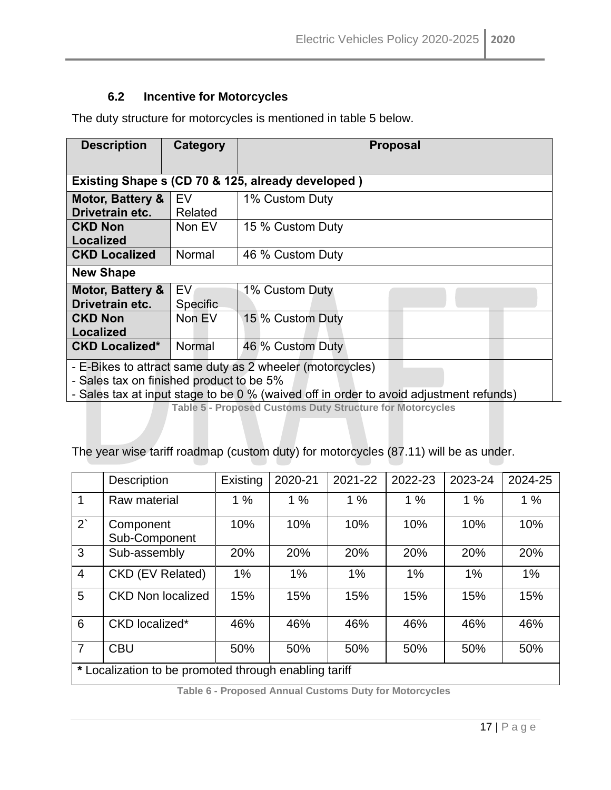#### **6.2 Incentive for Motorcycles**

<span id="page-16-0"></span>The duty structure for motorcycles is mentioned in table 5 below.

| <b>Description</b>                                                                                                                                                                              | Category                                          | <b>Proposal</b>  |  |  |  |  |  |  |
|-------------------------------------------------------------------------------------------------------------------------------------------------------------------------------------------------|---------------------------------------------------|------------------|--|--|--|--|--|--|
|                                                                                                                                                                                                 | Existing Shape s (CD 70 & 125, already developed) |                  |  |  |  |  |  |  |
| Motor, Battery &<br>Drivetrain etc.                                                                                                                                                             | EV<br>Related                                     | 1% Custom Duty   |  |  |  |  |  |  |
| <b>CKD Non</b><br><b>Localized</b>                                                                                                                                                              | Non EV                                            | 15 % Custom Duty |  |  |  |  |  |  |
| <b>CKD Localized</b>                                                                                                                                                                            | Normal                                            | 46 % Custom Duty |  |  |  |  |  |  |
| <b>New Shape</b>                                                                                                                                                                                |                                                   |                  |  |  |  |  |  |  |
| Motor, Battery &<br>Drivetrain etc.                                                                                                                                                             | EV<br>Specific                                    | 1% Custom Duty   |  |  |  |  |  |  |
| <b>CKD Non</b><br><b>Localized</b>                                                                                                                                                              | Non EV                                            | 15 % Custom Duty |  |  |  |  |  |  |
| <b>CKD Localized*</b>                                                                                                                                                                           | Normal                                            | 46 % Custom Duty |  |  |  |  |  |  |
| - E-Bikes to attract same duty as 2 wheeler (motorcycles)<br>- Sales tax on finished product to be 5%<br>- Sales tax at input stage to be 0 % (waived off in order to avoid adjustment refunds) |                                                   |                  |  |  |  |  |  |  |

**Table 5 - Proposed Customs Duty Structure for Motorcycles**

<span id="page-16-1"></span>The year wise tariff roadmap (custom duty) for motorcycles (87.11) will be as under.

|                | <b>Description</b>                                    | Existing | 2020-21 | 2021-22 | 2022-23 | 2023-24 | 2024-25 |
|----------------|-------------------------------------------------------|----------|---------|---------|---------|---------|---------|
| 1              | Raw material                                          | 1%       | 1%      | 1%      | 1%      | 1%      | 1%      |
| $2^{\degree}$  | Component<br>Sub-Component                            | 10%      | 10%     | 10%     | 10%     | 10%     | 10%     |
| 3              | Sub-assembly                                          | 20%      | 20%     | 20%     | 20%     | 20%     | 20%     |
| $\overline{4}$ | CKD (EV Related)                                      | 1%       | 1%      | $1\%$   | $1\%$   | 1%      | $1\%$   |
| 5              | <b>CKD Non localized</b>                              | 15%      | 15%     | 15%     | 15%     | 15%     | 15%     |
| 6              | CKD localized*                                        | 46%      | 46%     | 46%     | 46%     | 46%     | 46%     |
| $\overline{7}$ | <b>CBU</b>                                            | 50%      | 50%     | 50%     | 50%     | 50%     | 50%     |
|                | * Localization to be promoted through enabling tariff |          |         |         |         |         |         |

<span id="page-16-2"></span>**Table 6 - Proposed Annual Customs Duty for Motorcycles**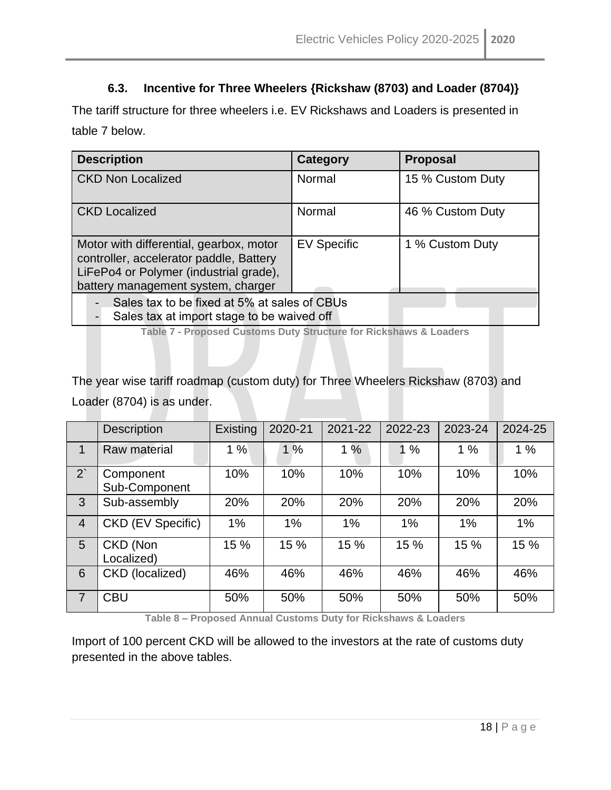#### **6.3. Incentive for Three Wheelers {Rickshaw (8703) and Loader (8704)}**

<span id="page-17-0"></span>The tariff structure for three wheelers i.e. EV Rickshaws and Loaders is presented in table 7 below.

| <b>Description</b>                                                                                                                                                 | <b>Category</b>    | <b>Proposal</b>  |  |  |  |  |
|--------------------------------------------------------------------------------------------------------------------------------------------------------------------|--------------------|------------------|--|--|--|--|
| <b>CKD Non Localized</b>                                                                                                                                           | Normal             | 15 % Custom Duty |  |  |  |  |
| <b>CKD Localized</b>                                                                                                                                               | Normal             | 46 % Custom Duty |  |  |  |  |
| Motor with differential, gearbox, motor<br>controller, accelerator paddle, Battery<br>LiFePo4 or Polymer (industrial grade),<br>battery management system, charger | <b>EV Specific</b> | 1 % Custom Duty  |  |  |  |  |
| Sales tax to be fixed at 5% at sales of CBUs<br>Sales tax at import stage to be waived off                                                                         |                    |                  |  |  |  |  |

**Table 7 - Proposed Customs Duty Structure for Rickshaws & Loaders**

<span id="page-17-1"></span>The year wise tariff roadmap (custom duty) for Three Wheelers Rickshaw (8703) and Loader (8704) is as under.

|                | <b>Description</b>         | Existing | 2020-21 | 2021-22 | 2022-23 | 2023-24 | 2024-25 |
|----------------|----------------------------|----------|---------|---------|---------|---------|---------|
|                | Raw material               | 1%       | 1%      | 1%      | $\%$    | 1%      | 1%      |
| $2^{\degree}$  | Component<br>Sub-Component | 10%      | 10%     | 10%     | 10%     | 10%     | 10%     |
| 3              | Sub-assembly               | 20%      | 20%     | 20%     | 20%     | 20%     | 20%     |
| $\overline{4}$ | CKD (EV Specific)          | 1%       | 1%      | 1%      | 1%      | 1%      | $1\%$   |
| 5              | CKD (Non<br>Localized)     | 15 %     | 15 %    | 15 %    | 15 %    | 15 %    | 15 %    |
| 6              | CKD (localized)            | 46%      | 46%     | 46%     | 46%     | 46%     | 46%     |
| $\overline{7}$ | <b>CBU</b>                 | 50%      | 50%     | 50%     | 50%     | 50%     | 50%     |

**Table 8 – Proposed Annual Customs Duty for Rickshaws & Loaders**

<span id="page-17-2"></span>Import of 100 percent CKD will be allowed to the investors at the rate of customs duty presented in the above tables.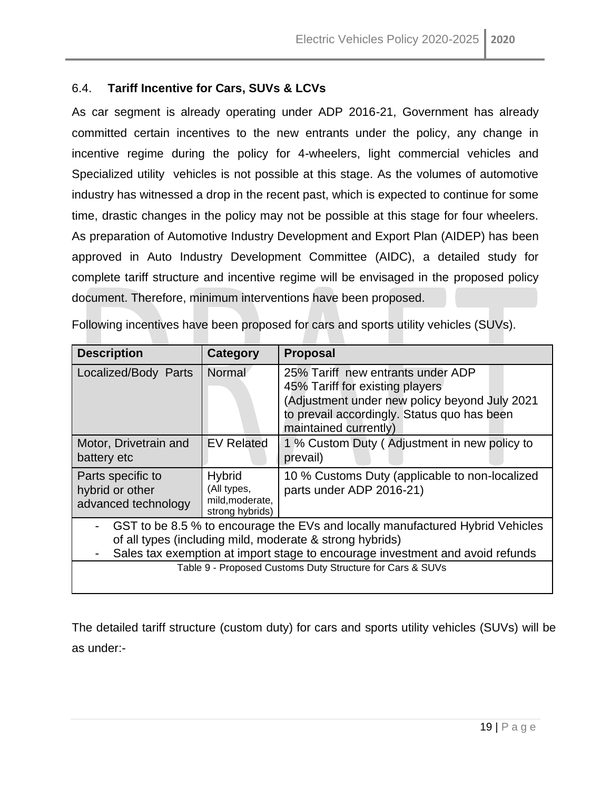#### 6.4. **Tariff Incentive for Cars, SUVs & LCVs**

As car segment is already operating under ADP 2016-21, Government has already committed certain incentives to the new entrants under the policy, any change in incentive regime during the policy for 4-wheelers, light commercial vehicles and Specialized utility vehicles is not possible at this stage. As the volumes of automotive industry has witnessed a drop in the recent past, which is expected to continue for some time, drastic changes in the policy may not be possible at this stage for four wheelers. As preparation of Automotive Industry Development and Export Plan (AIDEP) has been approved in Auto Industry Development Committee (AIDC), a detailed study for complete tariff structure and incentive regime will be envisaged in the proposed policy document. Therefore, minimum interventions have been proposed.

| <b>Description</b>                                                                                                                                                                                                         | <b>Category</b>                                                    | <b>Proposal</b>                                                                                                                                                                               |  |  |  |  |
|----------------------------------------------------------------------------------------------------------------------------------------------------------------------------------------------------------------------------|--------------------------------------------------------------------|-----------------------------------------------------------------------------------------------------------------------------------------------------------------------------------------------|--|--|--|--|
| Localized/Body Parts                                                                                                                                                                                                       | Normal                                                             | 25% Tariff new entrants under ADP<br>45% Tariff for existing players<br>(Adjustment under new policy beyond July 2021<br>to prevail accordingly. Status quo has been<br>maintained currently) |  |  |  |  |
| Motor, Drivetrain and<br>battery etc                                                                                                                                                                                       | <b>EV Related</b>                                                  | 1 % Custom Duty (Adjustment in new policy to<br>prevail)                                                                                                                                      |  |  |  |  |
| Parts specific to<br>hybrid or other<br>advanced technology                                                                                                                                                                | <b>Hybrid</b><br>(All types,<br>mild, moderate,<br>strong hybrids) | 10 % Customs Duty (applicable to non-localized<br>parts under ADP 2016-21)                                                                                                                    |  |  |  |  |
| GST to be 8.5 % to encourage the EVs and locally manufactured Hybrid Vehicles<br>of all types (including mild, moderate & strong hybrids)<br>Sales tax exemption at import stage to encourage investment and avoid refunds |                                                                    |                                                                                                                                                                                               |  |  |  |  |
|                                                                                                                                                                                                                            |                                                                    | Table 9 - Proposed Customs Duty Structure for Cars & SUVs                                                                                                                                     |  |  |  |  |

Following incentives have been proposed for cars and sports utility vehicles (SUVs).

The detailed tariff structure (custom duty) for cars and sports utility vehicles (SUVs) will be as under:-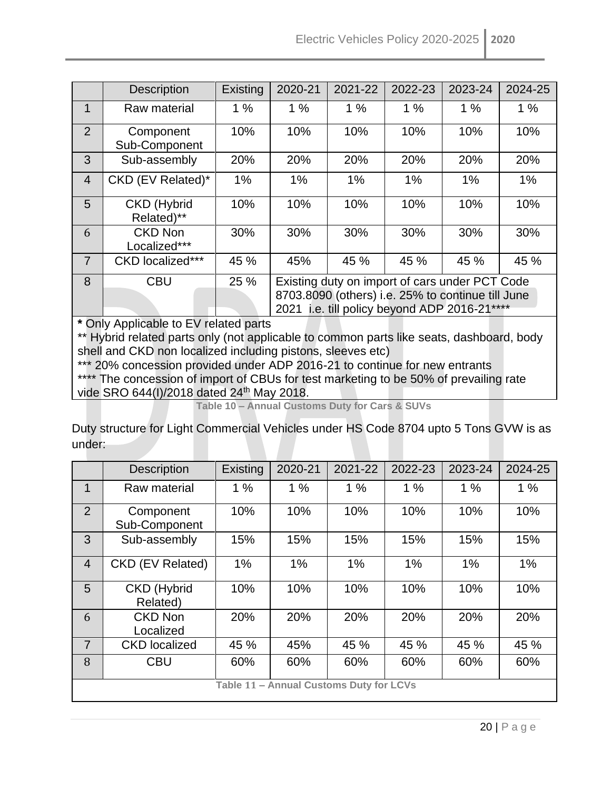|                | <b>Description</b>                           | Existing | 2020-21                                           | 2021-22 | 2022-23 | 2023-24 | 2024-25 |  |
|----------------|----------------------------------------------|----------|---------------------------------------------------|---------|---------|---------|---------|--|
| 1              | Raw material                                 | 1%       | 1%                                                | 1%      | 1%      | 1%      | 1%      |  |
| $\overline{2}$ | Component<br>Sub-Component                   | 10%      | 10%                                               | 10%     | 10%     | 10%     | 10%     |  |
| 3              | Sub-assembly                                 | 20%      | 20%                                               | 20%     | 20%     | 20%     | 20%     |  |
| $\overline{4}$ | CKD (EV Related)*                            | 1%       | 1%                                                | 1%      | 1%      | 1%      | 1%      |  |
| 5              | <b>CKD</b> (Hybrid<br>Related)**             | 10%      | 10%                                               | 10%     | 10%     | 10%     | 10%     |  |
| 6              | <b>CKD Non</b><br>Localized***               | 30%      | 30%                                               | 30%     | 30%     | 30%     | 30%     |  |
| $\overline{7}$ | <b>CKD</b> localized***                      | 45 %     | 45%                                               | 45 %    | 45 %    | 45 %    | 45 %    |  |
| 8              | <b>CBU</b>                                   | 25 %     | Existing duty on import of cars under PCT Code    |         |         |         |         |  |
|                |                                              |          | 8703.8090 (others) i.e. 25% to continue till June |         |         |         |         |  |
|                | 2021 i.e. till policy beyond ADP 2016-21**** |          |                                                   |         |         |         |         |  |
|                | * Only Applicable to EV related parts        |          |                                                   |         |         |         |         |  |

\*\* Hybrid related parts only (not applicable to common parts like seats, dashboard, body shell and CKD non localized including pistons, sleeves etc)

\*\*\* 20% concession provided under ADP 2016-21 to continue for new entrants \*\*\*\* The concession of import of CBUs for test marketing to be 50% of prevailing rate vide SRO 644(I)/2018 dated 24<sup>th</sup> May 2018.

**Table 10 – Annual Customs Duty for Cars & SUVs**

<span id="page-19-0"></span>Duty structure for Light Commercial Vehicles under HS Code 8704 upto 5 Tons GVW is as under:

|                                         | <b>Description</b>             | Existing | 2020-21 | 2021-22 | 2022-23 | 2023-24 | 2024-25 |
|-----------------------------------------|--------------------------------|----------|---------|---------|---------|---------|---------|
| $\mathbf{1}$                            | Raw material                   | 1%       | 1%      | 1%      | 1%      | 1%      | 1%      |
| 2                                       | Component<br>Sub-Component     | 10%      | 10%     | 10%     | 10%     | 10%     | 10%     |
| 3                                       | Sub-assembly                   | 15%      | 15%     | 15%     | 15%     | 15%     | 15%     |
| $\overline{4}$                          | CKD (EV Related)               | 1%       | 1%      | 1%      | 1%      | 1%      | 1%      |
| 5                                       | <b>CKD</b> (Hybrid<br>Related) | 10%      | 10%     | 10%     | 10%     | 10%     | 10%     |
| 6                                       | <b>CKD Non</b><br>Localized    | 20%      | 20%     | 20%     | 20%     | 20%     | 20%     |
| $\overline{7}$                          | <b>CKD</b> localized           | 45 %     | 45%     | 45 %    | 45 %    | 45 %    | 45 %    |
| 8                                       | <b>CBU</b>                     | 60%      | 60%     | 60%     | 60%     | 60%     | 60%     |
| Table 11 - Annual Customs Duty for LCVs |                                |          |         |         |         |         |         |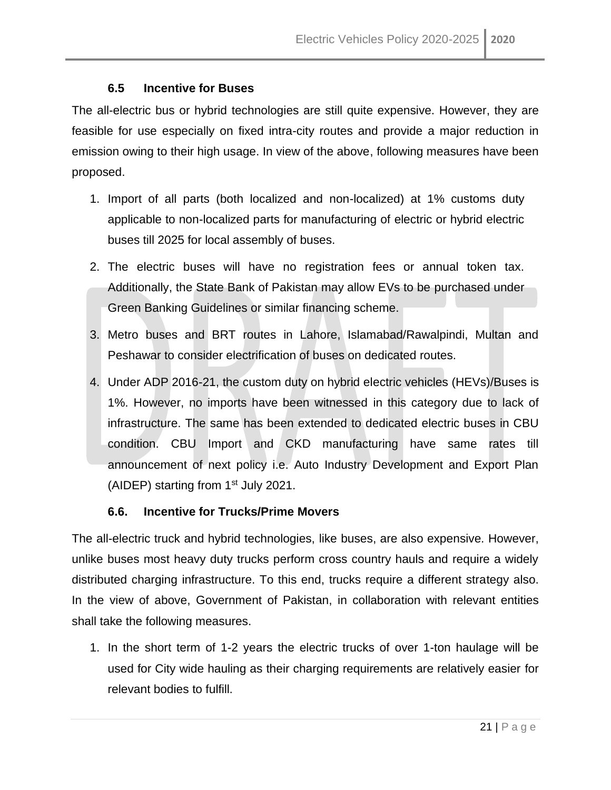#### **6.5 Incentive for Buses**

<span id="page-20-0"></span>The all-electric bus or hybrid technologies are still quite expensive. However, they are feasible for use especially on fixed intra-city routes and provide a major reduction in emission owing to their high usage. In view of the above, following measures have been proposed.

- 1. Import of all parts (both localized and non-localized) at 1% customs duty applicable to non-localized parts for manufacturing of electric or hybrid electric buses till 2025 for local assembly of buses.
- 2. The electric buses will have no registration fees or annual token tax. Additionally, the State Bank of Pakistan may allow EVs to be purchased under Green Banking Guidelines or similar financing scheme.
- 3. Metro buses and BRT routes in Lahore, Islamabad/Rawalpindi, Multan and Peshawar to consider electrification of buses on dedicated routes.
- 4. Under ADP 2016-21, the custom duty on hybrid electric vehicles (HEVs)/Buses is 1%. However, no imports have been witnessed in this category due to lack of infrastructure. The same has been extended to dedicated electric buses in CBU condition. CBU Import and CKD manufacturing have same rates till announcement of next policy i.e. Auto Industry Development and Export Plan (AIDEP) starting from  $1<sup>st</sup>$  July 2021.

#### **6.6. Incentive for Trucks/Prime Movers**

<span id="page-20-1"></span>The all-electric truck and hybrid technologies, like buses, are also expensive. However, unlike buses most heavy duty trucks perform cross country hauls and require a widely distributed charging infrastructure. To this end, trucks require a different strategy also. In the view of above, Government of Pakistan, in collaboration with relevant entities shall take the following measures.

1. In the short term of 1-2 years the electric trucks of over 1-ton haulage will be used for City wide hauling as their charging requirements are relatively easier for relevant bodies to fulfill.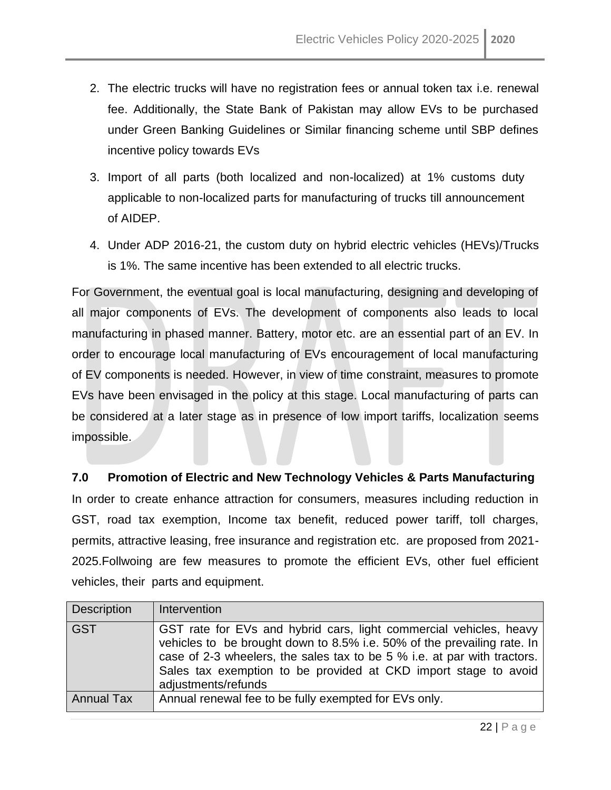- 2. The electric trucks will have no registration fees or annual token tax i.e. renewal fee. Additionally, the State Bank of Pakistan may allow EVs to be purchased under Green Banking Guidelines or Similar financing scheme until SBP defines incentive policy towards EVs
- 3. Import of all parts (both localized and non-localized) at 1% customs duty applicable to non-localized parts for manufacturing of trucks till announcement of AIDEP.
- 4. Under ADP 2016-21, the custom duty on hybrid electric vehicles (HEVs)/Trucks is 1%. The same incentive has been extended to all electric trucks.

For Government, the eventual goal is local manufacturing, designing and developing of all major components of EVs. The development of components also leads to local manufacturing in phased manner. Battery, motor etc. are an essential part of an EV. In order to encourage local manufacturing of EVs encouragement of local manufacturing of EV components is needed. However, in view of time constraint, measures to promote EVs have been envisaged in the policy at this stage. Local manufacturing of parts can be considered at a later stage as in presence of low import tariffs, localization seems impossible.

#### <span id="page-21-0"></span>**7.0 Promotion of Electric and New Technology Vehicles & Parts Manufacturing**

In order to create enhance attraction for consumers, measures including reduction in GST, road tax exemption, Income tax benefit, reduced power tariff, toll charges, permits, attractive leasing, free insurance and registration etc. are proposed from 2021- 2025.Follwoing are few measures to promote the efficient EVs, other fuel efficient vehicles, their parts and equipment.

| <b>Description</b> | Intervention                                                                                                                                                                                                                                                                                                        |
|--------------------|---------------------------------------------------------------------------------------------------------------------------------------------------------------------------------------------------------------------------------------------------------------------------------------------------------------------|
| <b>GST</b>         | GST rate for EVs and hybrid cars, light commercial vehicles, heavy<br>vehicles to be brought down to 8.5% i.e. 50% of the prevailing rate. In<br>case of 2-3 wheelers, the sales tax to be 5 % i.e. at par with tractors.<br>Sales tax exemption to be provided at CKD import stage to avoid<br>adjustments/refunds |
| <b>Annual Tax</b>  | Annual renewal fee to be fully exempted for EVs only.                                                                                                                                                                                                                                                               |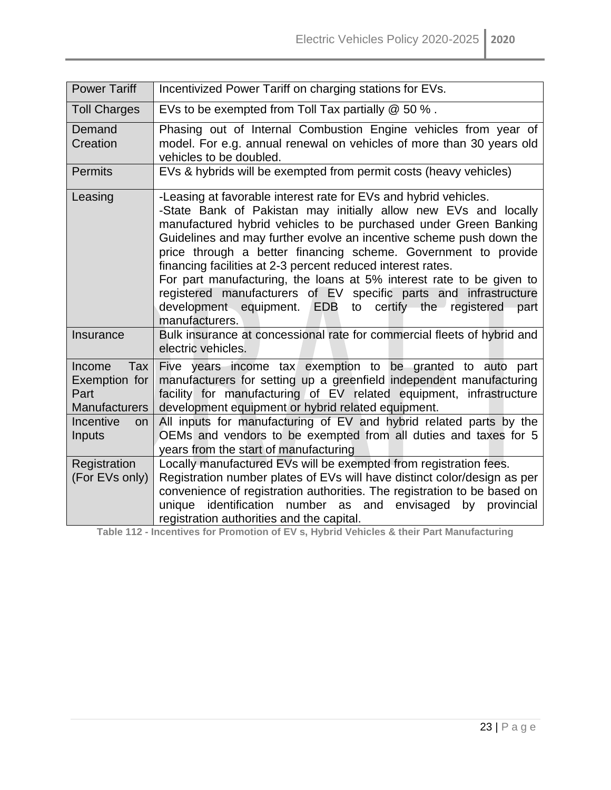| <b>Power Tariff</b>                                            | Incentivized Power Tariff on charging stations for EVs.                                                                                                                                                                                                                                                                                                                                                                                                                                                                                                                                                                                       |  |  |
|----------------------------------------------------------------|-----------------------------------------------------------------------------------------------------------------------------------------------------------------------------------------------------------------------------------------------------------------------------------------------------------------------------------------------------------------------------------------------------------------------------------------------------------------------------------------------------------------------------------------------------------------------------------------------------------------------------------------------|--|--|
| <b>Toll Charges</b>                                            | EVs to be exempted from Toll Tax partially @ 50 %.                                                                                                                                                                                                                                                                                                                                                                                                                                                                                                                                                                                            |  |  |
| Demand<br>Creation                                             | Phasing out of Internal Combustion Engine vehicles from year of<br>model. For e.g. annual renewal on vehicles of more than 30 years old<br>vehicles to be doubled.                                                                                                                                                                                                                                                                                                                                                                                                                                                                            |  |  |
| <b>Permits</b>                                                 | EVs & hybrids will be exempted from permit costs (heavy vehicles)                                                                                                                                                                                                                                                                                                                                                                                                                                                                                                                                                                             |  |  |
| Leasing                                                        | -Leasing at favorable interest rate for EVs and hybrid vehicles.<br>-State Bank of Pakistan may initially allow new EVs and locally<br>manufactured hybrid vehicles to be purchased under Green Banking<br>Guidelines and may further evolve an incentive scheme push down the<br>price through a better financing scheme. Government to provide<br>financing facilities at 2-3 percent reduced interest rates.<br>For part manufacturing, the loans at 5% interest rate to be given to<br>registered manufacturers of EV specific parts and infrastructure<br>development equipment. EDB to certify the registered<br>part<br>manufacturers. |  |  |
| Insurance                                                      | Bulk insurance at concessional rate for commercial fleets of hybrid and<br>electric vehicles.                                                                                                                                                                                                                                                                                                                                                                                                                                                                                                                                                 |  |  |
| Income<br>Tax<br>Exemption for<br>Part<br><b>Manufacturers</b> | Five years income tax exemption to be granted to auto part<br>manufacturers for setting up a greenfield independent manufacturing<br>facility for manufacturing of EV related equipment, infrastructure<br>development equipment or hybrid related equipment.                                                                                                                                                                                                                                                                                                                                                                                 |  |  |
| Incentive<br>on<br>Inputs                                      | All inputs for manufacturing of EV and hybrid related parts by the<br>OEMs and vendors to be exempted from all duties and taxes for 5<br>years from the start of manufacturing                                                                                                                                                                                                                                                                                                                                                                                                                                                                |  |  |
| Registration<br>(For EVs only)                                 | Locally manufactured EVs will be exempted from registration fees.<br>Registration number plates of EVs will have distinct color/design as per<br>convenience of registration authorities. The registration to be based on<br>unique identification number as and envisaged by provincial<br>registration authorities and the capital.                                                                                                                                                                                                                                                                                                         |  |  |

<span id="page-22-0"></span>**Table 112 - Incentives for Promotion of EV s, Hybrid Vehicles & their Part Manufacturing**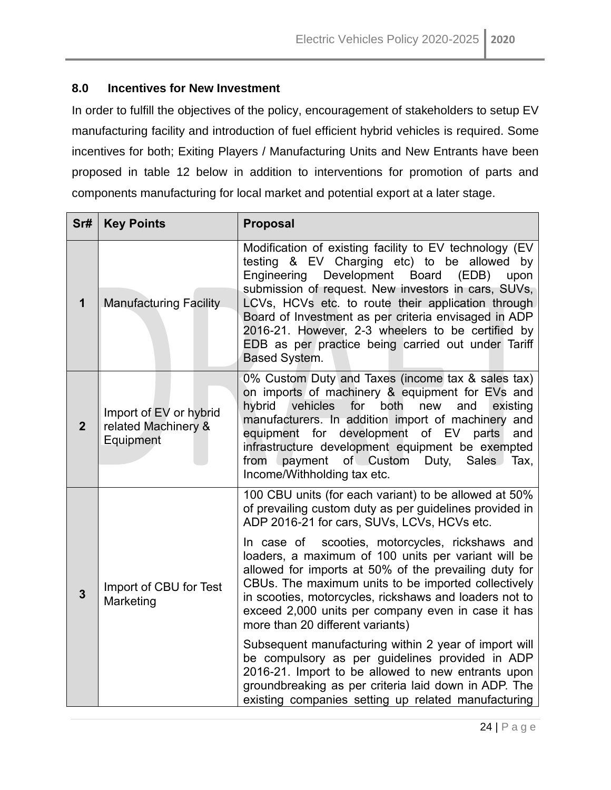#### <span id="page-23-0"></span>**8.0 Incentives for New Investment**

In order to fulfill the objectives of the policy, encouragement of stakeholders to setup EV manufacturing facility and introduction of fuel efficient hybrid vehicles is required. Some incentives for both; Exiting Players / Manufacturing Units and New Entrants have been proposed in table 12 below in addition to interventions for promotion of parts and components manufacturing for local market and potential export at a later stage.

| Sr#            | <b>Key Points</b>                                          | <b>Proposal</b>                                                                                                                                                                                                                                                                                                                                                                                                                                                                                                                                                                                                                                                                                                                                                                                                                |
|----------------|------------------------------------------------------------|--------------------------------------------------------------------------------------------------------------------------------------------------------------------------------------------------------------------------------------------------------------------------------------------------------------------------------------------------------------------------------------------------------------------------------------------------------------------------------------------------------------------------------------------------------------------------------------------------------------------------------------------------------------------------------------------------------------------------------------------------------------------------------------------------------------------------------|
| $\mathbf 1$    | <b>Manufacturing Facility</b>                              | Modification of existing facility to EV technology (EV<br>testing & EV Charging etc) to be allowed by<br>Engineering<br>Development Board (EDB)<br>upon<br>submission of request. New investors in cars, SUVs,<br>LCVs, HCVs etc. to route their application through<br>Board of Investment as per criteria envisaged in ADP<br>2016-21. However, 2-3 wheelers to be certified by<br>EDB as per practice being carried out under Tariff<br><b>Based System.</b>                                                                                                                                                                                                                                                                                                                                                                |
| $\mathbf{2}$   | Import of EV or hybrid<br>related Machinery &<br>Equipment | 0% Custom Duty and Taxes (income tax & sales tax)<br>on imports of machinery & equipment for EVs and<br>vehicles<br>for both<br>new<br>hybrid<br>and<br>existing<br>manufacturers. In addition import of machinery and<br>equipment for development of EV parts<br>and<br>infrastructure development equipment be exempted<br>from payment of Custom Duty, Sales Tax,<br>Income/Withholding tax etc.                                                                                                                                                                                                                                                                                                                                                                                                                           |
| $\overline{3}$ | Import of CBU for Test<br>Marketing                        | 100 CBU units (for each variant) to be allowed at 50%<br>of prevailing custom duty as per guidelines provided in<br>ADP 2016-21 for cars, SUVs, LCVs, HCVs etc.<br>In case of scooties, motorcycles, rickshaws and<br>loaders, a maximum of 100 units per variant will be<br>allowed for imports at 50% of the prevailing duty for<br>CBUs. The maximum units to be imported collectively<br>in scooties, motorcycles, rickshaws and loaders not to<br>exceed 2,000 units per company even in case it has<br>more than 20 different variants)<br>Subsequent manufacturing within 2 year of import will<br>be compulsory as per guidelines provided in ADP<br>2016-21. Import to be allowed to new entrants upon<br>groundbreaking as per criteria laid down in ADP. The<br>existing companies setting up related manufacturing |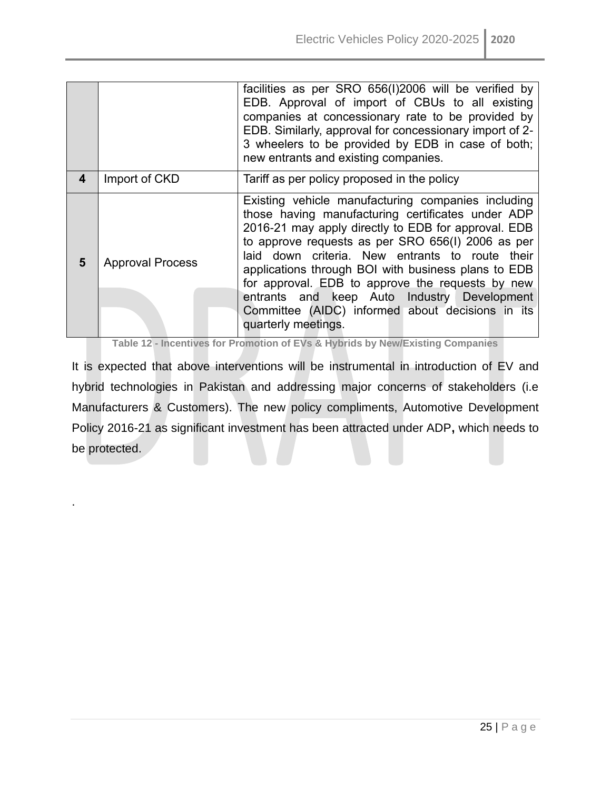|   |                         | facilities as per SRO 656(I)2006 will be verified by<br>EDB. Approval of import of CBUs to all existing<br>companies at concessionary rate to be provided by<br>EDB. Similarly, approval for concessionary import of 2-<br>3 wheelers to be provided by EDB in case of both;<br>new entrants and existing companies.                                                                                                                                                                                        |
|---|-------------------------|-------------------------------------------------------------------------------------------------------------------------------------------------------------------------------------------------------------------------------------------------------------------------------------------------------------------------------------------------------------------------------------------------------------------------------------------------------------------------------------------------------------|
| 4 | Import of CKD           | Tariff as per policy proposed in the policy                                                                                                                                                                                                                                                                                                                                                                                                                                                                 |
| 5 | <b>Approval Process</b> | Existing vehicle manufacturing companies including<br>those having manufacturing certificates under ADP<br>2016-21 may apply directly to EDB for approval. EDB<br>to approve requests as per SRO 656(I) 2006 as per<br>laid down criteria. New entrants to route their<br>applications through BOI with business plans to EDB<br>for approval. EDB to approve the requests by new<br>entrants and keep Auto Industry Development<br>Committee (AIDC) informed about decisions in its<br>quarterly meetings. |

**Table 12 - Incentives for Promotion of EVs & Hybrids by New/Existing Companies**

<span id="page-24-0"></span>It is expected that above interventions will be instrumental in introduction of EV and hybrid technologies in Pakistan and addressing major concerns of stakeholders (i.e Manufacturers & Customers). The new policy compliments, Automotive Development Policy 2016-21 as significant investment has been attracted under ADP**,** which needs to be protected.

.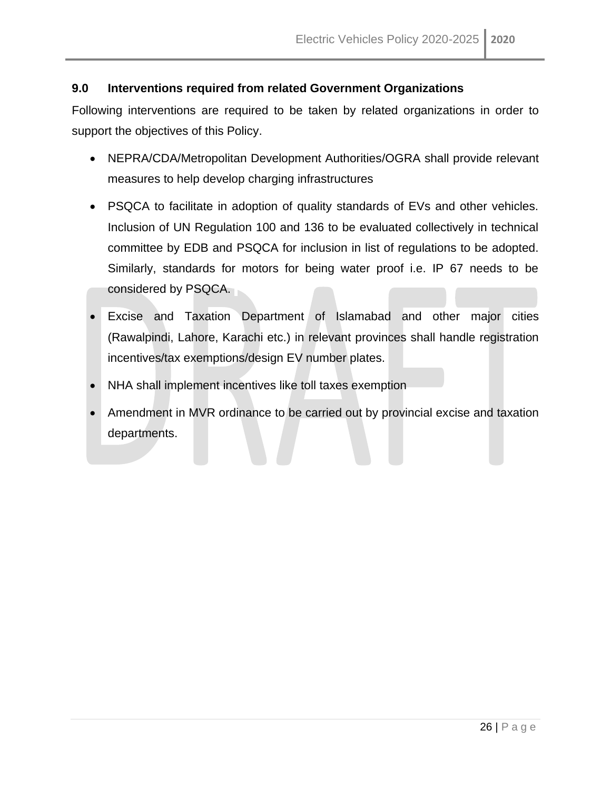#### <span id="page-25-0"></span>**9.0 Interventions required from related Government Organizations**

Following interventions are required to be taken by related organizations in order to support the objectives of this Policy.

- NEPRA/CDA/Metropolitan Development Authorities/OGRA shall provide relevant measures to help develop charging infrastructures
- PSQCA to facilitate in adoption of quality standards of EVs and other vehicles. Inclusion of UN Regulation 100 and 136 to be evaluated collectively in technical committee by EDB and PSQCA for inclusion in list of regulations to be adopted. Similarly, standards for motors for being water proof i.e. IP 67 needs to be considered by PSQCA.
- Excise and Taxation Department of Islamabad and other major cities (Rawalpindi, Lahore, Karachi etc.) in relevant provinces shall handle registration incentives/tax exemptions/design EV number plates.
- NHA shall implement incentives like toll taxes exemption
- Amendment in MVR ordinance to be carried out by provincial excise and taxation departments.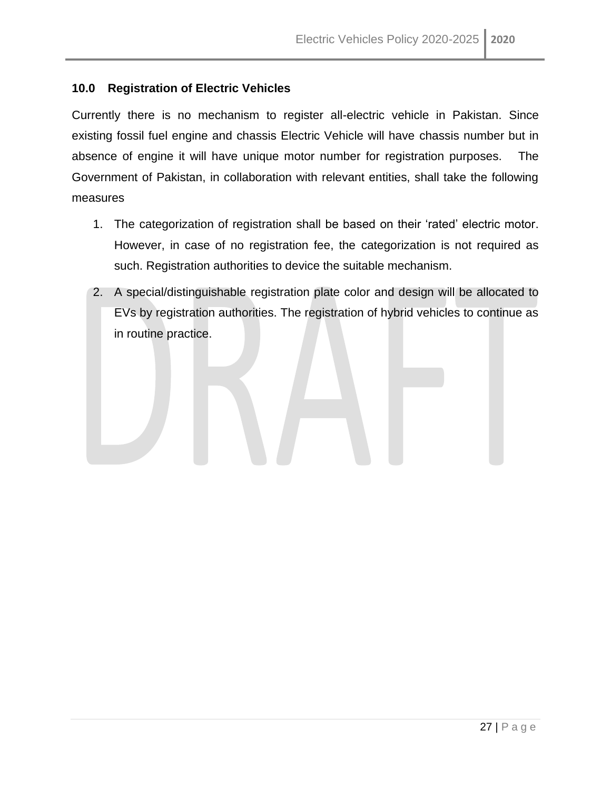#### <span id="page-26-0"></span>**10.0 Registration of Electric Vehicles**

Currently there is no mechanism to register all-electric vehicle in Pakistan. Since existing fossil fuel engine and chassis Electric Vehicle will have chassis number but in absence of engine it will have unique motor number for registration purposes. The Government of Pakistan, in collaboration with relevant entities, shall take the following measures

- 1. The categorization of registration shall be based on their 'rated' electric motor. However, in case of no registration fee, the categorization is not required as such. Registration authorities to device the suitable mechanism.
- 2. A special/distinguishable registration plate color and design will be allocated to EVs by registration authorities. The registration of hybrid vehicles to continue as in routine practice.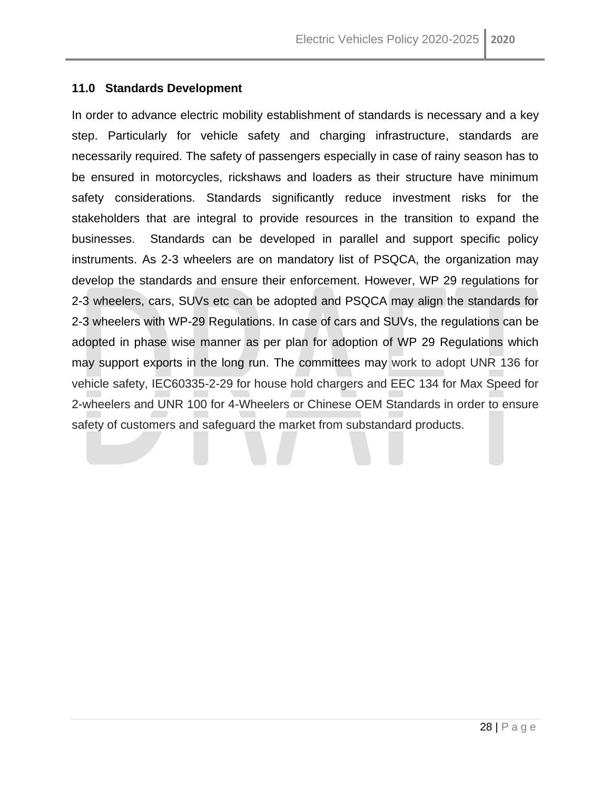#### <span id="page-27-0"></span>**11.0 Standards Development**

In order to advance electric mobility establishment of standards is necessary and a key step. Particularly for vehicle safety and charging infrastructure, standards are necessarily required. The safety of passengers especially in case of rainy season has to be ensured in motorcycles, rickshaws and loaders as their structure have minimum safety considerations. Standards significantly reduce investment risks for the stakeholders that are integral to provide resources in the transition to expand the businesses. Standards can be developed in parallel and support specific policy instruments. As 2-3 wheelers are on mandatory list of PSQCA, the organization may develop the standards and ensure their enforcement. However, WP 29 regulations for 2-3 wheelers, cars, SUVs etc can be adopted and PSQCA may align the standards for 2-3 wheelers with WP-29 Regulations. In case of cars and SUVs, the regulations can be adopted in phase wise manner as per plan for adoption of WP 29 Regulations which may support exports in the long run. The committees may work to adopt UNR 136 for vehicle safety, IEC60335-2-29 for house hold chargers and EEC 134 for Max Speed for 2-wheelers and UNR 100 for 4-Wheelers or Chinese OEM Standards in order to ensure safety of customers and safeguard the market from substandard products.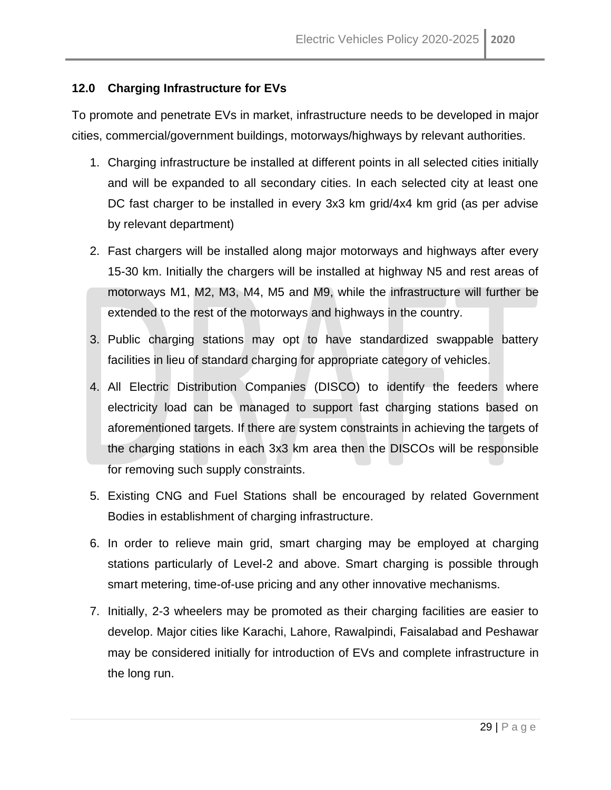#### <span id="page-28-0"></span>**12.0 Charging Infrastructure for EVs**

To promote and penetrate EVs in market, infrastructure needs to be developed in major cities, commercial/government buildings, motorways/highways by relevant authorities.

- 1. Charging infrastructure be installed at different points in all selected cities initially and will be expanded to all secondary cities. In each selected city at least one DC fast charger to be installed in every 3x3 km grid/4x4 km grid (as per advise by relevant department)
- 2. Fast chargers will be installed along major motorways and highways after every 15-30 km. Initially the chargers will be installed at highway N5 and rest areas of motorways M1, M2, M3, M4, M5 and M9, while the infrastructure will further be extended to the rest of the motorways and highways in the country.
- 3. Public charging stations may opt to have standardized swappable battery facilities in lieu of standard charging for appropriate category of vehicles.
- 4. All Electric Distribution Companies (DISCO) to identify the feeders where electricity load can be managed to support fast charging stations based on aforementioned targets. If there are system constraints in achieving the targets of the charging stations in each 3x3 km area then the DISCOs will be responsible for removing such supply constraints.
- 5. Existing CNG and Fuel Stations shall be encouraged by related Government Bodies in establishment of charging infrastructure.
- 6. In order to relieve main grid, smart charging may be employed at charging stations particularly of Level-2 and above. Smart charging is possible through smart metering, time-of-use pricing and any other innovative mechanisms.
- 7. Initially, 2-3 wheelers may be promoted as their charging facilities are easier to develop. Major cities like Karachi, Lahore, Rawalpindi, Faisalabad and Peshawar may be considered initially for introduction of EVs and complete infrastructure in the long run.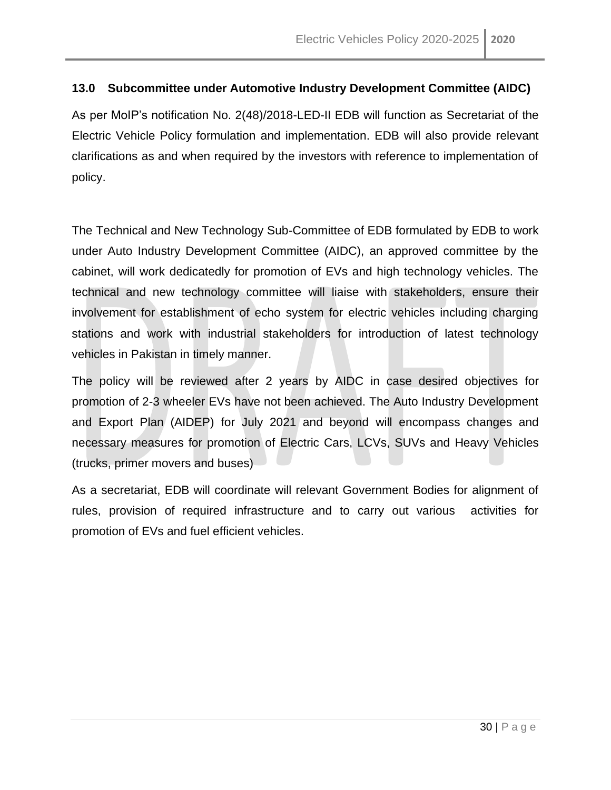#### <span id="page-29-0"></span>**13.0 Subcommittee under Automotive Industry Development Committee (AIDC)**

As per MoIP's notification No. 2(48)/2018-LED-II EDB will function as Secretariat of the Electric Vehicle Policy formulation and implementation. EDB will also provide relevant clarifications as and when required by the investors with reference to implementation of policy.

The Technical and New Technology Sub-Committee of EDB formulated by EDB to work under Auto Industry Development Committee (AIDC), an approved committee by the cabinet, will work dedicatedly for promotion of EVs and high technology vehicles. The technical and new technology committee will liaise with stakeholders, ensure their involvement for establishment of echo system for electric vehicles including charging stations and work with industrial stakeholders for introduction of latest technology vehicles in Pakistan in timely manner.

The policy will be reviewed after 2 years by AIDC in case desired objectives for promotion of 2-3 wheeler EVs have not been achieved. The Auto Industry Development and Export Plan (AIDEP) for July 2021 and beyond will encompass changes and necessary measures for promotion of Electric Cars, LCVs, SUVs and Heavy Vehicles (trucks, primer movers and buses)

As a secretariat, EDB will coordinate will relevant Government Bodies for alignment of rules, provision of required infrastructure and to carry out various activities for promotion of EVs and fuel efficient vehicles.